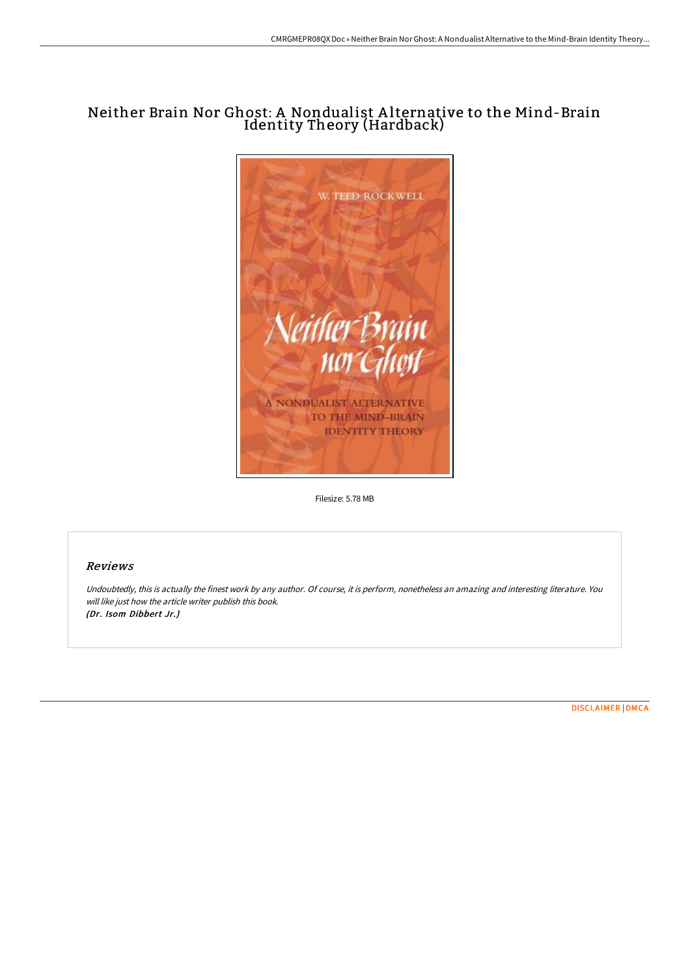# Neither Brain Nor Ghost: A Nondualist A lternative to the Mind-Brain Identity Theory (Hardback)



Filesize: 5.78 MB

## Reviews

Undoubtedly, this is actually the finest work by any author. Of course, it is perform, nonetheless an amazing and interesting literature. You will like just how the article writer publish this book. (Dr. Isom Dibbert Jr.)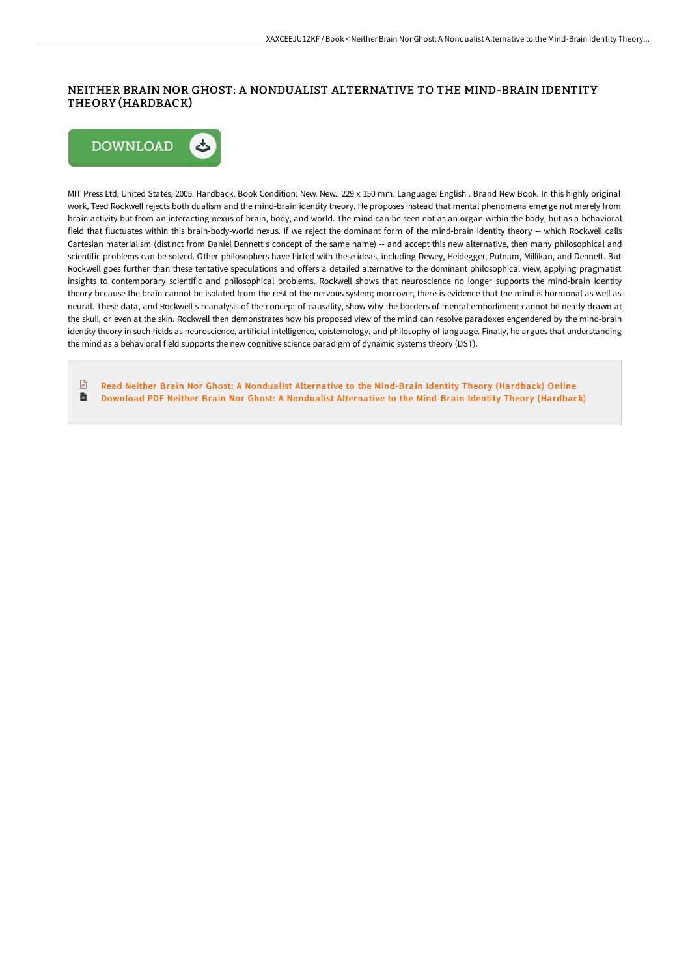## NEITHER BRAIN NOR GHOST: A NONDUALIST ALTERNATIVE TO THE MIND-BRAIN IDENTITY THEORY (HARDBACK)



MIT Press Ltd, United States, 2005. Hardback. Book Condition: New. New.. 229 x 150 mm. Language: English . Brand New Book. In this highly original work, Teed Rockwell rejects both dualism and the mind-brain identity theory. He proposes instead that mental phenomena emerge not merely from brain activity but from an interacting nexus of brain, body, and world. The mind can be seen not as an organ within the body, but as a behavioral field that fluctuates within this brain-body-world nexus. If we reject the dominant form of the mind-brain identity theory -- which Rockwell calls Cartesian materialism (distinct from Daniel Dennett s concept of the same name) -- and accept this new alternative, then many philosophical and scientific problems can be solved. Other philosophers have flirted with these ideas, including Dewey, Heidegger, Putnam, Millikan, and Dennett. But Rockwell goes further than these tentative speculations and offers a detailed alternative to the dominant philosophical view, applying pragmatist insights to contemporary scientific and philosophical problems. Rockwell shows that neuroscience no longer supports the mind-brain identity theory because the brain cannot be isolated from the rest of the nervous system; moreover, there is evidence that the mind is hormonal as well as neural. These data, and Rockwell s reanalysis of the concept of causality, show why the borders of mental embodiment cannot be neatly drawn at the skull, or even at the skin. Rockwell then demonstrates how his proposed view of the mind can resolve paradoxes engendered by the mind-brain identity theory in such fields as neuroscience, artificial intelligence, epistemology, and philosophy of language. Finally, he argues that understanding the mind as a behavioral field supports the new cognitive science paradigm of dynamic systems theory (DST).

 $\mathbb{R}$ Read Neither Brain Nor Ghost: A Nondualist Alternative to the Mind-Brain Identity Theory [\(Hardback\)](http://www.bookdirs.com/neither-brain-nor-ghost-a-nondualist-alternative-1.html) Online  $\blacksquare$ Download PDF Neither Brain Nor Ghost: A Nondualist Alternative to the Mind-Brain Identity Theory [\(Hardback\)](http://www.bookdirs.com/neither-brain-nor-ghost-a-nondualist-alternative-1.html)